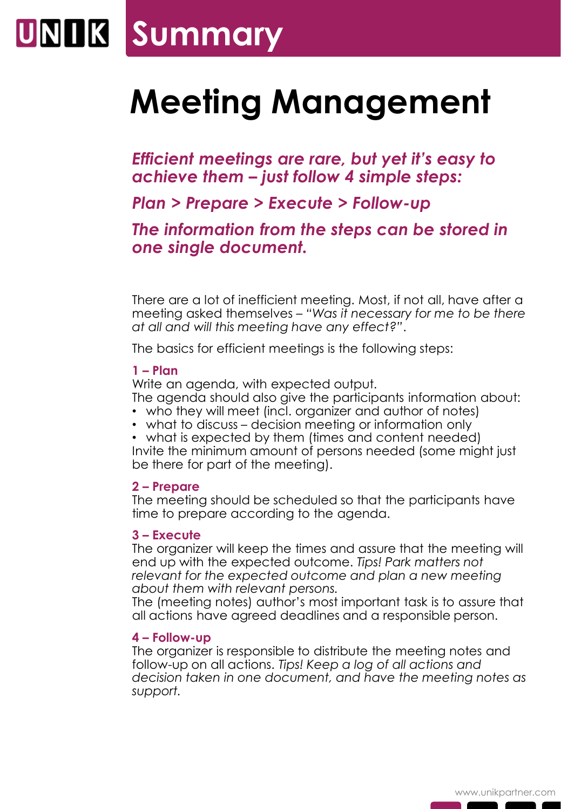## **UNIIK Summary**

### **Meeting Management**

*Efficient meetings are rare, but yet it's easy to achieve them – just follow 4 simple steps:* 

*Plan > Prepare > Execute > Follow-up*

*The information from the steps can be stored in one single document.*

There are a lot of inefficient meeting. Most, if not all, have after a meeting asked themselves – *"Was it necessary for me to be there at all and will this meeting have any effect?"*.

The basics for efficient meetings is the following steps:

#### **1 – Plan**

Write an agenda, with expected output.

The agenda should also give the participants information about:

- who they will meet (incl. organizer and author of notes)
- what to discuss decision meeting or information only

• what is expected by them (times and content needed) Invite the minimum amount of persons needed (some might just be there for part of the meeting).

#### **2 – Prepare**

The meeting should be scheduled so that the participants have time to prepare according to the agenda.

#### **3 – Execute**

The organizer will keep the times and assure that the meeting will end up with the expected outcome. *Tips! Park matters not relevant for the expected outcome and plan a new meeting about them with relevant persons.*

The (meeting notes) author's most important task is to assure that all actions have agreed deadlines and a responsible person.

#### **4 – Follow-up**

The organizer is responsible to distribute the meeting notes and follow-up on all actions. *Tips! Keep a log of all actions and decision taken in one document, and have the meeting notes as support.*